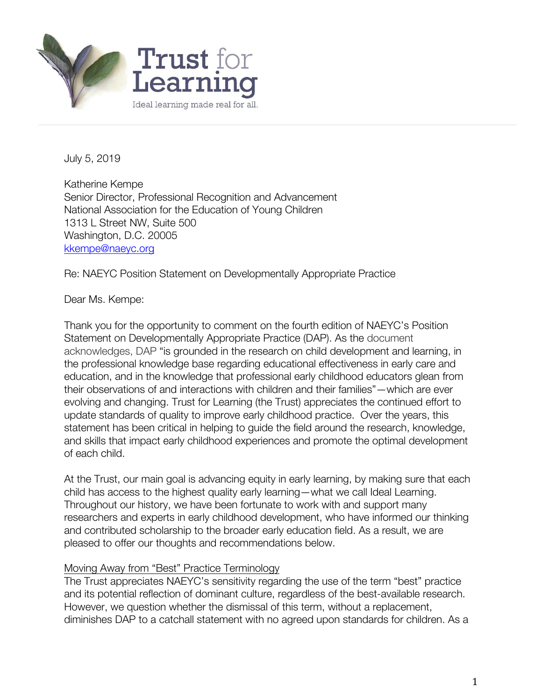

July 5, 2019

Katherine Kempe Senior Director, Professional Recognition and Advancement National Association for the Education of Young Children 1313 L Street NW, Suite 500 Washington, D.C. 20005 kkempe@naeyc.org

Re: NAEYC Position Statement on Developmentally Appropriate Practice

Dear Ms. Kempe:

Thank you for the opportunity to comment on the fourth edition of NAEYC's Position Statement on Developmentally Appropriate Practice (DAP). As the document acknowledges, DAP "is grounded in the research on child development and learning, in the professional knowledge base regarding educational effectiveness in early care and education, and in the knowledge that professional early childhood educators glean from their observations of and interactions with children and their families"—which are ever evolving and changing. Trust for Learning (the Trust) appreciates the continued effort to update standards of quality to improve early childhood practice. Over the years, this statement has been critical in helping to guide the field around the research, knowledge, and skills that impact early childhood experiences and promote the optimal development of each child.

At the Trust, our main goal is advancing equity in early learning, by making sure that each child has access to the highest quality early learning—what we call Ideal Learning. Throughout our history, we have been fortunate to work with and support many researchers and experts in early childhood development, who have informed our thinking and contributed scholarship to the broader early education field. As a result, we are pleased to offer our thoughts and recommendations below.

# Moving Away from "Best" Practice Terminology

The Trust appreciates NAEYC's sensitivity regarding the use of the term "best" practice and its potential reflection of dominant culture, regardless of the best-available research. However, we question whether the dismissal of this term, without a replacement, diminishes DAP to a catchall statement with no agreed upon standards for children. As a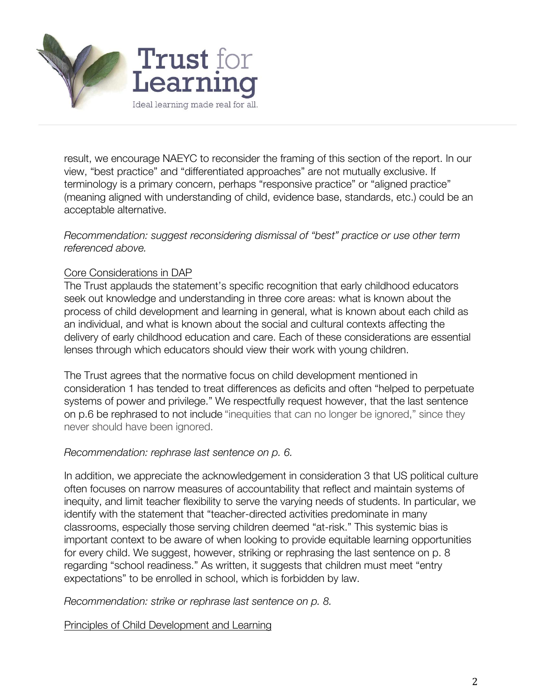

result, we encourage NAEYC to reconsider the framing of this section of the report. In our view, "best practice" and "differentiated approaches" are not mutually exclusive. If terminology is a primary concern, perhaps "responsive practice" or "aligned practice" (meaning aligned with understanding of child, evidence base, standards, etc.) could be an acceptable alternative.

*Recommendation: suggest reconsidering dismissal of "best" practice or use other term referenced above.*

# Core Considerations in DAP

The Trust applauds the statement's specific recognition that early childhood educators seek out knowledge and understanding in three core areas: what is known about the process of child development and learning in general, what is known about each child as an individual, and what is known about the social and cultural contexts affecting the delivery of early childhood education and care. Each of these considerations are essential lenses through which educators should view their work with young children.

The Trust agrees that the normative focus on child development mentioned in consideration 1 has tended to treat differences as deficits and often "helped to perpetuate systems of power and privilege." We respectfully request however, that the last sentence on p.6 be rephrased to not include "inequities that can no longer be ignored," since they never should have been ignored.

# *Recommendation: rephrase last sentence on p. 6.*

In addition, we appreciate the acknowledgement in consideration 3 that US political culture often focuses on narrow measures of accountability that reflect and maintain systems of inequity, and limit teacher flexibility to serve the varying needs of students. In particular, we identify with the statement that "teacher-directed activities predominate in many classrooms, especially those serving children deemed "at-risk." This systemic bias is important context to be aware of when looking to provide equitable learning opportunities for every child. We suggest, however, striking or rephrasing the last sentence on p. 8 regarding "school readiness." As written, it suggests that children must meet "entry expectations" to be enrolled in school, which is forbidden by law.

*Recommendation: strike or rephrase last sentence on p. 8.*

# Principles of Child Development and Learning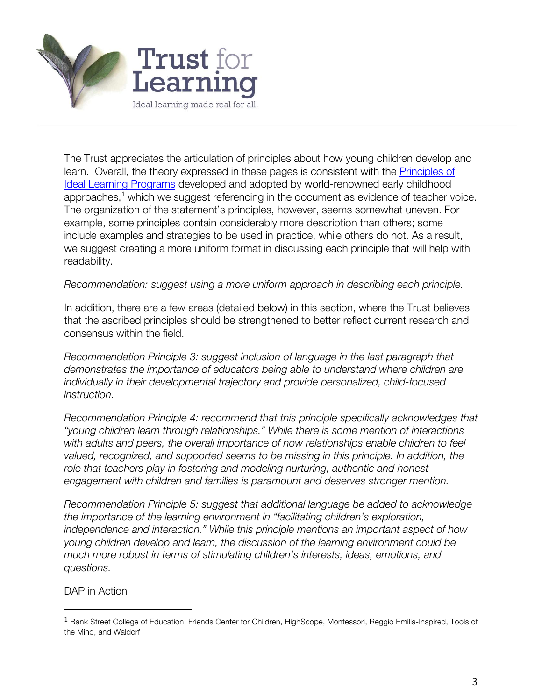

The Trust appreciates the articulation of principles about how young children develop and learn. Overall, the theory expressed in these pages is consistent with the Principles of Ideal Learning Programs developed and adopted by world-renowned early childhood approaches,<sup>1</sup> which we suggest referencing in the document as evidence of teacher voice. The organization of the statement's principles, however, seems somewhat uneven. For example, some principles contain considerably more description than others; some include examples and strategies to be used in practice, while others do not. As a result, we suggest creating a more uniform format in discussing each principle that will help with readability.

### *Recommendation: suggest using a more uniform approach in describing each principle.*

In addition, there are a few areas (detailed below) in this section, where the Trust believes that the ascribed principles should be strengthened to better reflect current research and consensus within the field.

*Recommendation Principle 3: suggest inclusion of language in the last paragraph that demonstrates the importance of educators being able to understand where children are individually in their developmental trajectory and provide personalized, child-focused instruction.*

*Recommendation Principle 4: recommend that this principle specifically acknowledges that "young children learn through relationships." While there is some mention of interactions with adults and peers, the overall importance of how relationships enable children to feel valued, recognized, and supported seems to be missing in this principle. In addition, the role that teachers play in fostering and modeling nurturing, authentic and honest engagement with children and families is paramount and deserves stronger mention.*

*Recommendation Principle 5: suggest that additional language be added to acknowledge the importance of the learning environment in "facilitating children's exploration, independence and interaction." While this principle mentions an important aspect of how young children develop and learn, the discussion of the learning environment could be much more robust in terms of stimulating children's interests, ideas, emotions, and questions.*

### DAP in Action

 

<sup>1</sup> Bank Street College of Education, Friends Center for Children, HighScope, Montessori, Reggio Emilia-Inspired, Tools of the Mind, and Waldorf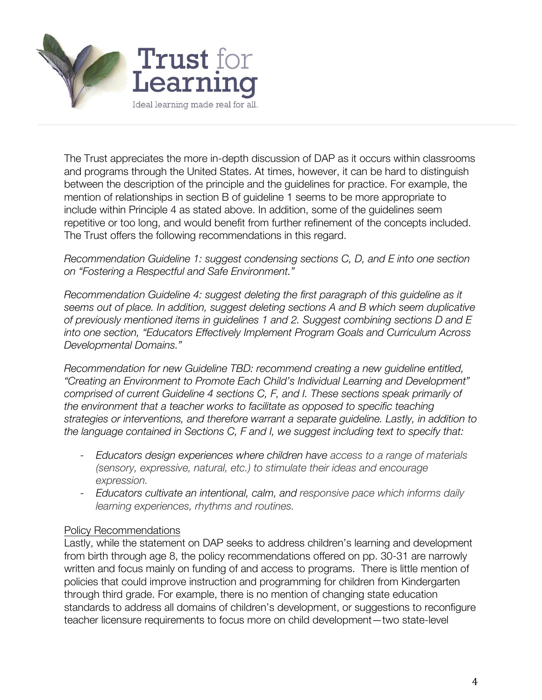

The Trust appreciates the more in-depth discussion of DAP as it occurs within classrooms and programs through the United States. At times, however, it can be hard to distinguish between the description of the principle and the guidelines for practice. For example, the mention of relationships in section B of guideline 1 seems to be more appropriate to include within Principle 4 as stated above. In addition, some of the guidelines seem repetitive or too long, and would benefit from further refinement of the concepts included. The Trust offers the following recommendations in this regard.

## *Recommendation Guideline 1: suggest condensing sections C, D, and E into one section on "Fostering a Respectful and Safe Environment."*

*Recommendation Guideline 4: suggest deleting the first paragraph of this guideline as it seems out of place. In addition, suggest deleting sections A and B which seem duplicative of previously mentioned items in guidelines 1 and 2. Suggest combining sections D and E into one section, "Educators Effectively Implement Program Goals and Curriculum Across Developmental Domains."*

*Recommendation for new Guideline TBD: recommend creating a new guideline entitled, "Creating an Environment to Promote Each Child's Individual Learning and Development" comprised of current Guideline 4 sections C, F, and I. These sections speak primarily of the environment that a teacher works to facilitate as opposed to specific teaching strategies or interventions, and therefore warrant a separate guideline. Lastly, in addition to the language contained in Sections C, F and I, we suggest including text to specify that:*

- *Educators design experiences where children have access to a range of materials (sensory, expressive, natural, etc.) to stimulate their ideas and encourage expression.*
- *Educators cultivate an intentional, calm, and responsive pace which informs daily learning experiences, rhythms and routines.*

### Policy Recommendations

Lastly, while the statement on DAP seeks to address children's learning and development from birth through age 8, the policy recommendations offered on pp. 30-31 are narrowly written and focus mainly on funding of and access to programs. There is little mention of policies that could improve instruction and programming for children from Kindergarten through third grade. For example, there is no mention of changing state education standards to address all domains of children's development, or suggestions to reconfigure teacher licensure requirements to focus more on child development—two state-level